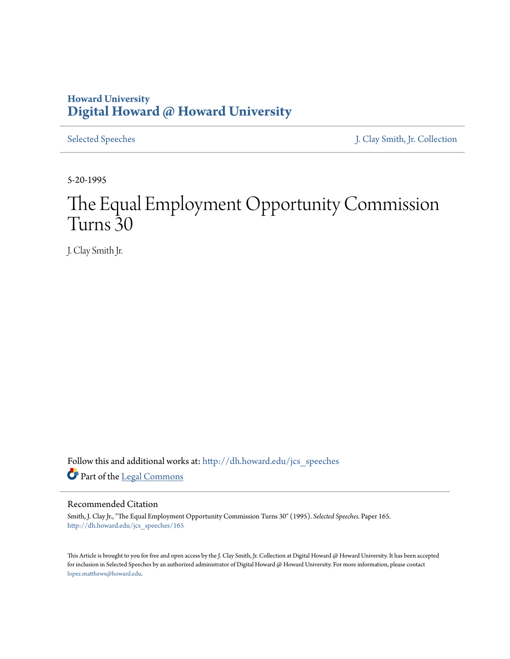## **Howard University [Digital Howard @ Howard University](http://dh.howard.edu?utm_source=dh.howard.edu%2Fjcs_speeches%2F165&utm_medium=PDF&utm_campaign=PDFCoverPages)**

[Selected Speeches](http://dh.howard.edu/jcs_speeches?utm_source=dh.howard.edu%2Fjcs_speeches%2F165&utm_medium=PDF&utm_campaign=PDFCoverPages) [J. Clay Smith, Jr. Collection](http://dh.howard.edu/jcsmith?utm_source=dh.howard.edu%2Fjcs_speeches%2F165&utm_medium=PDF&utm_campaign=PDFCoverPages)

5-20-1995

# The Equal Employment Opportunity Commission Turns 30

J. Clay Smith Jr.

Follow this and additional works at: [http://dh.howard.edu/jcs\\_speeches](http://dh.howard.edu/jcs_speeches?utm_source=dh.howard.edu%2Fjcs_speeches%2F165&utm_medium=PDF&utm_campaign=PDFCoverPages) Part of the [Legal Commons](http://network.bepress.com/hgg/discipline/502?utm_source=dh.howard.edu%2Fjcs_speeches%2F165&utm_medium=PDF&utm_campaign=PDFCoverPages)

### Recommended Citation

Smith, J. Clay Jr., "The Equal Employment Opportunity Commission Turns 30" (1995). *Selected Speeches.* Paper 165. [http://dh.howard.edu/jcs\\_speeches/165](http://dh.howard.edu/jcs_speeches/165?utm_source=dh.howard.edu%2Fjcs_speeches%2F165&utm_medium=PDF&utm_campaign=PDFCoverPages)

This Article is brought to you for free and open access by the J. Clay Smith, Jr. Collection at Digital Howard @ Howard University. It has been accepted for inclusion in Selected Speeches by an authorized administrator of Digital Howard @ Howard University. For more information, please contact [lopez.matthews@howard.edu.](mailto:lopez.matthews@howard.edu)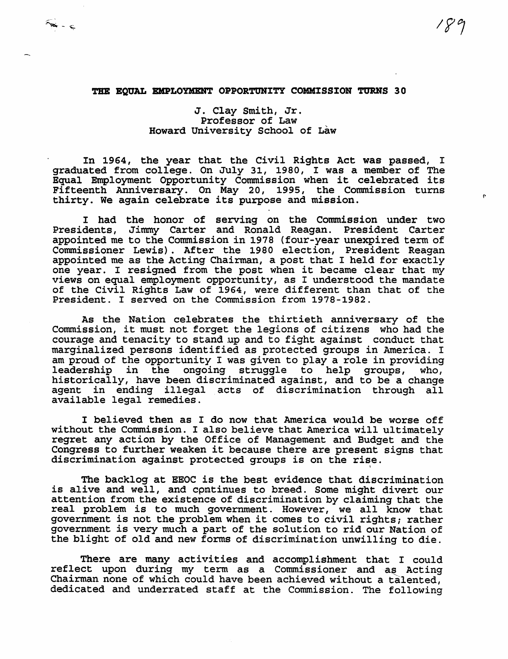(.

#### THE EQUAL EMPLOYMENT OPPORTUNITY COMMISSION TURNS 30

 $\Rightarrow -\infty$ 

### J. Clay Smith, Jr. Professor of Law Howard University School of Law

In 1964, the year that the Civil Rights Act was passed, I graduated from college. On July 31, 1980, I was a member of The Equal Employment Opportunity Commission when it celebrated its Fifteenth Anniversary. On May 20, 1995, the Commission turns thirty. We again celebrate its purpose and mission.

I had the honor of serving on the Commission under two Presidents, Jimmy Carter and Ronald Reagan. President Carter appointed me to the Commission in 1978 (four-year unexpired term of Commissioner Lewis). After the 1980 election, President Reagan appointed me as the Acting Chairman, a post that I held for exactly one year. I resigned from the post when it became clear that my views on equal employment opportunity, as I understood the mandate of the Civil Rights Law of 1964, were different than that of the President. I served on the Commission from 1978-1982.

As the Nation celebrates the thirtieth anniversary of the Commission, it must not forget the legions of citizens who had the courage and tenacity to stand up and to fight against conduct that marginalized persons identified as protected groups in America. I am proud of the opportunity I was given to playa role in providing leadership in the ongoing struggle to help groups, who, historically, have been discriminated against, and to be a change agent in ending illegal acts of discrimination through all available legal remedies.

I believed then as I do now that America would be worse off without the Commission. I also believe that America will ultimately regret any action by the Office of Management and Budget and the Congress to further weaken it because there are present signs that discrimination against protected groups is on the rise.

The backlog at EEOC is the best evidence that discrimination is alive and well, and cpmtinues to breed. Some might divert our attention from the existence of discrimination by claiming that the real problem is to much government. However, we all know that government is not the problem when it comes to civil rights; rather government is very much a part of the solution to rid our Nation of the blight of old and new forms of discrimination unwilling to die.

There are many activities and accomplishment that I could reflect upon during my term as a Commissioner and as Acting Chairman none of which could have been achieved without a talented, dedicated and underrated staff at the Commission. The following